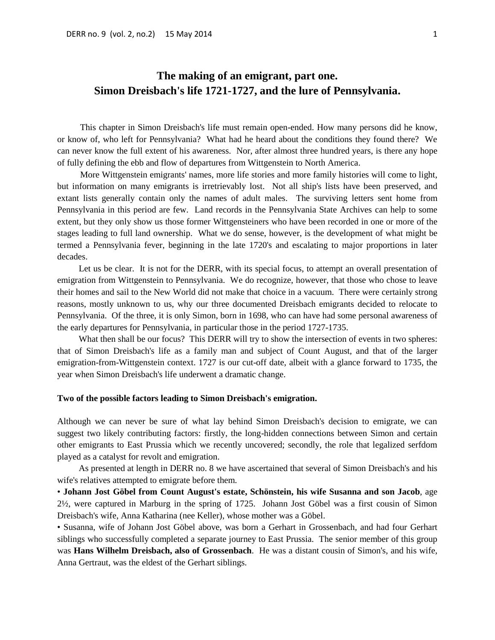This chapter in Simon Dreisbach's life must remain open-ended. How many persons did he know, or know of, who left for Pennsylvania? What had he heard about the conditions they found there? We can never know the full extent of his awareness. Nor, after almost three hundred years, is there any hope of fully defining the ebb and flow of departures from Wittgenstein to North America.

More Wittgenstein emigrants' names, more life stories and more family histories will come to light, but information on many emigrants is irretrievably lost. Not all ship's lists have been preserved, and extant lists generally contain only the names of adult males. The surviving letters sent home from Pennsylvania in this period are few. Land records in the Pennsylvania State Archives can help to some extent, but they only show us those former Wittgensteiners who have been recorded in one or more of the stages leading to full land ownership. What we do sense, however, is the development of what might be termed a Pennsylvania fever, beginning in the late 1720's and escalating to major proportions in later decades.

Let us be clear. It is not for the DERR, with its special focus, to attempt an overall presentation of emigration from Wittgenstein to Pennsylvania. We do recognize, however, that those who chose to leave their homes and sail to the New World did not make that choice in a vacuum. There were certainly strong reasons, mostly unknown to us, why our three documented Dreisbach emigrants decided to relocate to Pennsylvania. Of the three, it is only Simon, born in 1698, who can have had some personal awareness of the early departures for Pennsylvania, in particular those in the period 1727-1735.

What then shall be our focus? This DERR will try to show the intersection of events in two spheres: that of Simon Dreisbach's life as a family man and subject of Count August, and that of the larger emigration-from-Wittgenstein context. 1727 is our cut-off date, albeit with a glance forward to 1735, the year when Simon Dreisbach's life underwent a dramatic change.

### **Two of the possible factors leading to Simon Dreisbach's emigration.**

Although we can never be sure of what lay behind Simon Dreisbach's decision to emigrate, we can suggest two likely contributing factors: firstly, the long-hidden connections between Simon and certain other emigrants to East Prussia which we recently uncovered; secondly, the role that legalized serfdom played as a catalyst for revolt and emigration.

As presented at length in DERR no. 8 we have ascertained that several of Simon Dreisbach's and his wife's relatives attempted to emigrate before them.

• **Johann Jost Göbel from Count August's estate, Schönstein, his wife Susanna and son Jacob**, age 2½, were captured in Marburg in the spring of 1725. Johann Jost Göbel was a first cousin of Simon Dreisbach's wife, Anna Katharina (nee Keller), whose mother was a Göbel.

• Susanna, wife of Johann Jost Göbel above, was born a Gerhart in Grossenbach, and had four Gerhart siblings who successfully completed a separate journey to East Prussia. The senior member of this group was **Hans Wilhelm Dreisbach, also of Grossenbach**. He was a distant cousin of Simon's, and his wife, Anna Gertraut, was the eldest of the Gerhart siblings.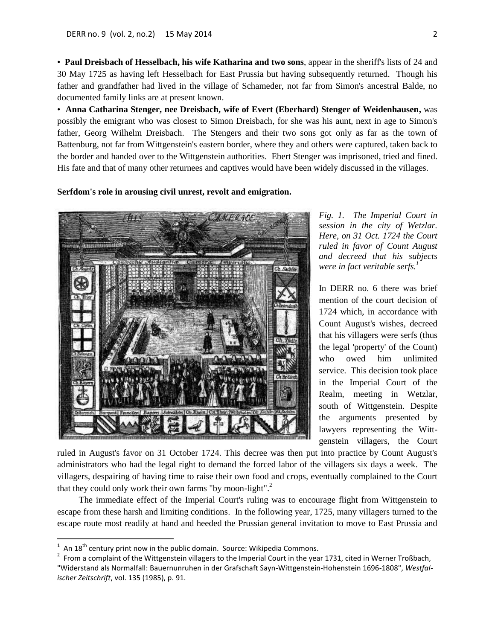• **Paul Dreisbach of Hesselbach, his wife Katharina and two sons**, appear in the sheriff's lists of 24 and 30 May 1725 as having left Hesselbach for East Prussia but having subsequently returned. Though his father and grandfather had lived in the village of Schameder, not far from Simon's ancestral Balde, no documented family links are at present known.

• **Anna Catharina Stenger, nee Dreisbach, wife of Evert (Eberhard) Stenger of Weidenhausen,** was possibly the emigrant who was closest to Simon Dreisbach, for she was his aunt, next in age to Simon's father, Georg Wilhelm Dreisbach. The Stengers and their two sons got only as far as the town of Battenburg, not far from Wittgenstein's eastern border, where they and others were captured, taken back to the border and handed over to the Wittgenstein authorities. Ebert Stenger was imprisoned, tried and fined. His fate and that of many other returnees and captives would have been widely discussed in the villages.

#### **Serfdom's role in arousing civil unrest, revolt and emigration.**



*Fig. 1. The Imperial Court in session in the city of Wetzlar. Here, on 31 Oct. 1724 the Court ruled in favor of Count August and decreed that his subjects were in fact veritable serfs.<sup>1</sup>*

In DERR no. 6 there was brief mention of the court decision of 1724 which, in accordance with Count August's wishes, decreed that his villagers were serfs (thus the legal 'property' of the Count) who owed him unlimited service. This decision took place in the Imperial Court of the Realm, meeting in Wetzlar, south of Wittgenstein. Despite the arguments presented by lawyers representing the Wittgenstein villagers, the Court

ruled in August's favor on 31 October 1724. This decree was then put into practice by Count August's administrators who had the legal right to demand the forced labor of the villagers six days a week. The villagers, despairing of having time to raise their own food and crops, eventually complained to the Court that they could only work their own farms "by moon-light".<sup>2</sup>

The immediate effect of the Imperial Court's ruling was to encourage flight from Wittgenstein to escape from these harsh and limiting conditions. In the following year, 1725, many villagers turned to the escape route most readily at hand and heeded the Prussian general invitation to move to East Prussia and

 $\overline{a}$ 

 $2$  From a complaint of the Wittgenstein villagers to the Imperial Court in the year 1731, cited in Werner Troßbach, "Widerstand als Normalfall: Bauernunruhen in der Grafschaft Sayn-Wittgenstein-Hohenstein 1696-1808", *Westfalischer Zeitschrift*, vol. 135 (1985), p. 91.

 $1$  An 18<sup>th</sup> century print now in the public domain. Source: Wikipedia Commons.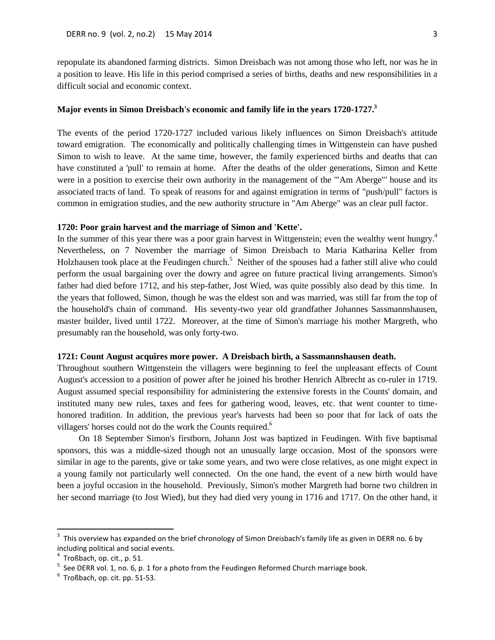repopulate its abandoned farming districts. Simon Dreisbach was not among those who left, nor was he in a position to leave. His life in this period comprised a series of births, deaths and new responsibilities in a difficult social and economic context.

## **Major events in Simon Dreisbach's economic and family life in the years 1720-1727.<sup>3</sup>**

The events of the period 1720-1727 included various likely influences on Simon Dreisbach's attitude toward emigration. The economically and politically challenging times in Wittgenstein can have pushed Simon to wish to leave. At the same time, however, the family experienced births and deaths that can have constituted a 'pull' to remain at home. After the deaths of the older generations, Simon and Kette were in a position to exercise their own authority in the management of the '"Am Aberge"' house and its associated tracts of land. To speak of reasons for and against emigration in terms of "push/pull" factors is common in emigration studies, and the new authority structure in "Am Aberge" was an clear pull factor.

### **1720: Poor grain harvest and the marriage of Simon and 'Kette'.**

In the summer of this year there was a poor grain harvest in Wittgenstein; even the wealthy went hungry.<sup>4</sup> Nevertheless, on 7 November the marriage of Simon Dreisbach to Maria Katharina Keller from Holzhausen took place at the Feudingen church.<sup>5</sup> Neither of the spouses had a father still alive who could perform the usual bargaining over the dowry and agree on future practical living arrangements. Simon's father had died before 1712, and his step-father, Jost Wied, was quite possibly also dead by this time. In the years that followed, Simon, though he was the eldest son and was married, was still far from the top of the household's chain of command. His seventy-two year old grandfather Johannes Sassmannshausen, master builder, lived until 1722. Moreover, at the time of Simon's marriage his mother Margreth, who presumably ran the household, was only forty-two.

### **1721: Count August acquires more power. A Dreisbach birth, a Sassmannshausen death.**

Throughout southern Wittgenstein the villagers were beginning to feel the unpleasant effects of Count August's accession to a position of power after he joined his brother Henrich Albrecht as co-ruler in 1719. August assumed special responsibility for administering the extensive forests in the Counts' domain, and instituted many new rules, taxes and fees for gathering wood, leaves, etc. that went counter to timehonored tradition. In addition, the previous year's harvests had been so poor that for lack of oats the villagers' horses could not do the work the Counts required.<sup>6</sup>

On 18 September Simon's firstborn, Johann Jost was baptized in Feudingen. With five baptismal sponsors, this was a middle-sized though not an unusually large occasion. Most of the sponsors were similar in age to the parents, give or take some years, and two were close relatives, as one might expect in a young family not particularly well connected. On the one hand, the event of a new birth would have been a joyful occasion in the household. Previously, Simon's mother Margreth had borne two children in her second marriage (to Jost Wied), but they had died very young in 1716 and 1717. On the other hand, it

 $\overline{a}$ 

<sup>3</sup> This overview has expanded on the brief chronology of Simon Dreisbach's family life as given in DERR no. 6 by including political and social events.

 $<sup>4</sup>$  Troßbach, op. cit., p. 51.</sup>

 $5$  See DERR vol. 1, no. 6, p. 1 for a photo from the Feudingen Reformed Church marriage book.

 $<sup>6</sup>$  Troßbach, op. cit. pp. 51-53.</sup>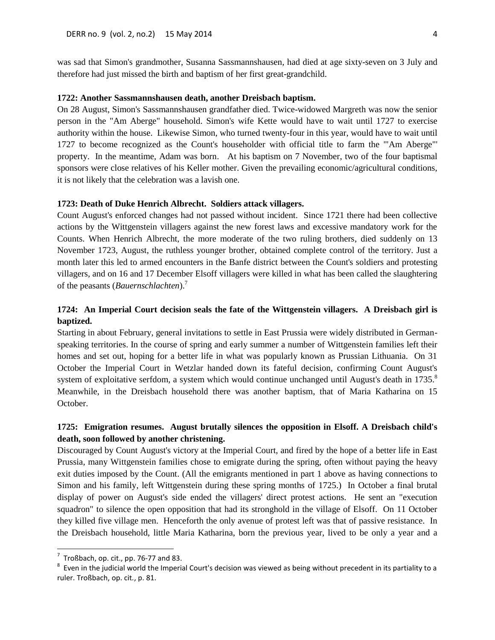was sad that Simon's grandmother, Susanna Sassmannshausen, had died at age sixty-seven on 3 July and therefore had just missed the birth and baptism of her first great-grandchild.

## **1722: Another Sassmannshausen death, another Dreisbach baptism.**

On 28 August, Simon's Sassmannshausen grandfather died. Twice-widowed Margreth was now the senior person in the "Am Aberge" household. Simon's wife Kette would have to wait until 1727 to exercise authority within the house. Likewise Simon, who turned twenty-four in this year, would have to wait until 1727 to become recognized as the Count's householder with official title to farm the '"Am Aberge"' property. In the meantime, Adam was born. At his baptism on 7 November, two of the four baptismal sponsors were close relatives of his Keller mother. Given the prevailing economic/agricultural conditions, it is not likely that the celebration was a lavish one.

### **1723: Death of Duke Henrich Albrecht. Soldiers attack villagers.**

Count August's enforced changes had not passed without incident. Since 1721 there had been collective actions by the Wittgenstein villagers against the new forest laws and excessive mandatory work for the Counts. When Henrich Albrecht, the more moderate of the two ruling brothers, died suddenly on 13 November 1723, August, the ruthless younger brother, obtained complete control of the territory. Just a month later this led to armed encounters in the Banfe district between the Count's soldiers and protesting villagers, and on 16 and 17 December Elsoff villagers were killed in what has been called the slaughtering of the peasants (*Bauernschlachten*).<sup>7</sup>

# **1724: An Imperial Court decision seals the fate of the Wittgenstein villagers. A Dreisbach girl is baptized.**

Starting in about February, general invitations to settle in East Prussia were widely distributed in Germanspeaking territories. In the course of spring and early summer a number of Wittgenstein families left their homes and set out, hoping for a better life in what was popularly known as Prussian Lithuania. On 31 October the Imperial Court in Wetzlar handed down its fateful decision, confirming Count August's system of exploitative serfdom, a system which would continue unchanged until August's death in 1735.<sup>8</sup> Meanwhile, in the Dreisbach household there was another baptism, that of Maria Katharina on 15 October.

# **1725: Emigration resumes. August brutally silences the opposition in Elsoff. A Dreisbach child's death, soon followed by another christening.**

Discouraged by Count August's victory at the Imperial Court, and fired by the hope of a better life in East Prussia, many Wittgenstein families chose to emigrate during the spring, often without paying the heavy exit duties imposed by the Count. (All the emigrants mentioned in part 1 above as having connections to Simon and his family, left Wittgenstein during these spring months of 1725.) In October a final brutal display of power on August's side ended the villagers' direct protest actions. He sent an "execution squadron" to silence the open opposition that had its stronghold in the village of Elsoff. On 11 October they killed five village men. Henceforth the only avenue of protest left was that of passive resistance. In the Dreisbach household, little Maria Katharina, born the previous year, lived to be only a year and a

 $\overline{a}$ 

 $<sup>7</sup>$  Troßbach, op. cit., pp. 76-77 and 83.</sup>

 $8$  Even in the judicial world the Imperial Court's decision was viewed as being without precedent in its partiality to a ruler. Troßbach, op. cit*.*, p. 81.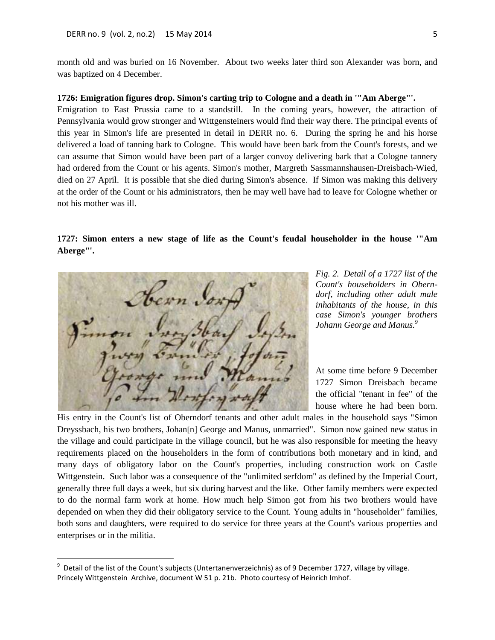month old and was buried on 16 November. About two weeks later third son Alexander was born, and was baptized on 4 December.

### **1726: Emigration figures drop. Simon's carting trip to Cologne and a death in '"Am Aberge"'.**

Emigration to East Prussia came to a standstill. In the coming years, however, the attraction of Pennsylvania would grow stronger and Wittgensteiners would find their way there. The principal events of this year in Simon's life are presented in detail in DERR no. 6. During the spring he and his horse delivered a load of tanning bark to Cologne. This would have been bark from the Count's forests, and we can assume that Simon would have been part of a larger convoy delivering bark that a Cologne tannery had ordered from the Count or his agents. Simon's mother, Margreth Sassmannshausen-Dreisbach-Wied, died on 27 April. It is possible that she died during Simon's absence. If Simon was making this delivery at the order of the Count or his administrators, then he may well have had to leave for Cologne whether or not his mother was ill.

## **1727: Simon enters a new stage of life as the Count's feudal householder in the house '"Am Aberge"'.**

*Fig. 2. Detail of a 1727 list of the Count's householders in Oberndorf, including other adult male inhabitants of the house, in this case Simon's younger brothers Johann George and Manus. 9*

At some time before 9 December 1727 Simon Dreisbach became the official "tenant in fee" of the house where he had been born.

His entry in the Count's list of Oberndorf tenants and other adult males in the household says "Simon Dreyssbach, his two brothers, Johan[n] George and Manus, unmarried". Simon now gained new status in the village and could participate in the village council, but he was also responsible for meeting the heavy requirements placed on the householders in the form of contributions both monetary and in kind, and many days of obligatory labor on the Count's properties, including construction work on Castle Wittgenstein. Such labor was a consequence of the "unlimited serfdom" as defined by the Imperial Court, generally three full days a week, but six during harvest and the like. Other family members were expected to do the normal farm work at home. How much help Simon got from his two brothers would have depended on when they did their obligatory service to the Count. Young adults in "householder" families, both sons and daughters, were required to do service for three years at the Count's various properties and enterprises or in the militia.

 9 Detail of the list of the Count's subjects (Untertanenverzeichnis) as of 9 December 1727, village by village. Princely Wittgenstein Archive, document W 51 p. 21b. Photo courtesy of Heinrich Imhof.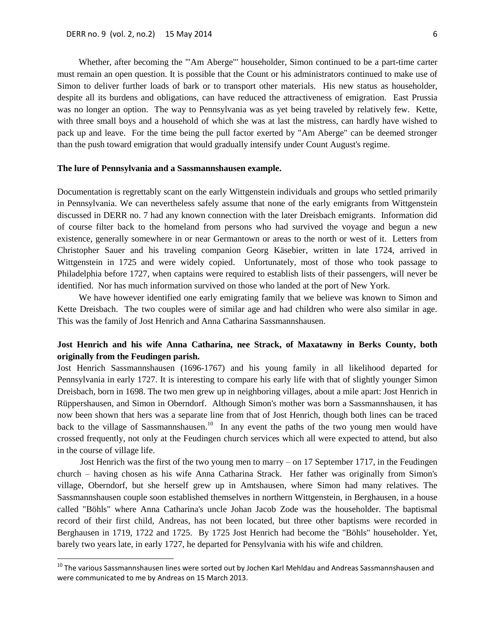$\ddot{\phantom{a}}$ 

Whether, after becoming the '"Am Aberge"' householder, Simon continued to be a part-time carter must remain an open question. It is possible that the Count or his administrators continued to make use of Simon to deliver further loads of bark or to transport other materials. His new status as householder, despite all its burdens and obligations, can have reduced the attractiveness of emigration. East Prussia was no longer an option. The way to Pennsylvania was as yet being traveled by relatively few. Kette, with three small boys and a household of which she was at last the mistress, can hardly have wished to pack up and leave. For the time being the pull factor exerted by "Am Aberge" can be deemed stronger than the push toward emigration that would gradually intensify under Count August's regime.

#### **The lure of Pennsylvania and a Sassmannshausen example.**

Documentation is regrettably scant on the early Wittgenstein individuals and groups who settled primarily in Pennsylvania. We can nevertheless safely assume that none of the early emigrants from Wittgenstein discussed in DERR no. 7 had any known connection with the later Dreisbach emigrants. Information did of course filter back to the homeland from persons who had survived the voyage and begun a new existence, generally somewhere in or near Germantown or areas to the north or west of it. Letters from Christopher Sauer and his traveling companion Georg Käsebier, written in late 1724, arrived in Wittgenstein in 1725 and were widely copied. Unfortunately, most of those who took passage to Philadelphia before 1727, when captains were required to establish lists of their passengers, will never be identified. Nor has much information survived on those who landed at the port of New York.

We have however identified one early emigrating family that we believe was known to Simon and Kette Dreisbach. The two couples were of similar age and had children who were also similar in age. This was the family of Jost Henrich and Anna Catharina Sassmannshausen.

# **Jost Henrich and his wife Anna Catharina, nee Strack, of Maxatawny in Berks County, both originally from the Feudingen parish.**

Jost Henrich Sassmannshausen (1696-1767) and his young family in all likelihood departed for Pennsylvania in early 1727. It is interesting to compare his early life with that of slightly younger Simon Dreisbach, born in 1698. The two men grew up in neighboring villages, about a mile apart: Jost Henrich in Rüppershausen, and Simon in Oberndorf. Although Simon's mother was born a Sassmannshausen, it has now been shown that hers was a separate line from that of Jost Henrich, though both lines can be traced back to the village of Sassmannshausen.<sup>10</sup> In any event the paths of the two young men would have crossed frequently, not only at the Feudingen church services which all were expected to attend, but also in the course of village life.

Jost Henrich was the first of the two young men to marry – on 17 September 1717, in the Feudingen church – having chosen as his wife Anna Catharina Strack. Her father was originally from Simon's village, Oberndorf, but she herself grew up in Amtshausen, where Simon had many relatives. The Sassmannshausen couple soon established themselves in northern Wittgenstein, in Berghausen, in a house called "Böhls" where Anna Catharina's uncle Johan Jacob Zode was the householder. The baptismal record of their first child, Andreas, has not been located, but three other baptisms were recorded in Berghausen in 1719, 1722 and 1725. By 1725 Jost Henrich had become the "Böhls" householder. Yet, barely two years late, in early 1727, he departed for Pensylvania with his wife and children.

<sup>&</sup>lt;sup>10</sup> The various Sassmannshausen lines were sorted out by Jochen Karl Mehldau and Andreas Sassmannshausen and were communicated to me by Andreas on 15 March 2013.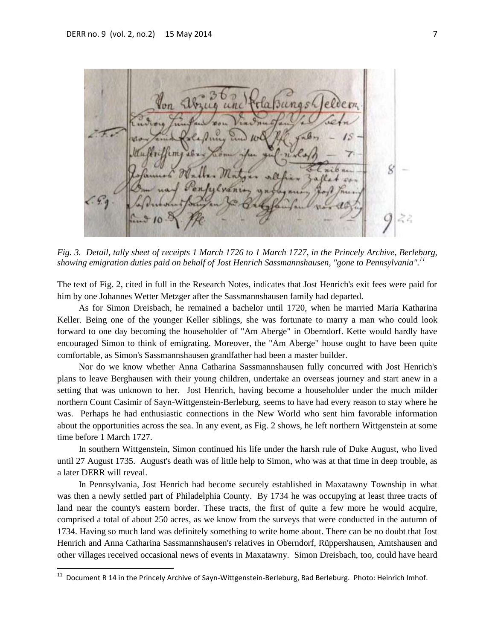*<u>Bungsh</u>* 

*Fig. 3. Detail, tally sheet of receipts 1 March 1726 to 1 March 1727, in the Princely Archive, Berleburg, showing emigration duties paid on behalf of Jost Henrich Sassmannshausen, "gone to Pennsylvania". 11*

The text of Fig. 2, cited in full in the Research Notes, indicates that Jost Henrich's exit fees were paid for him by one Johannes Wetter Metzger after the Sassmannshausen family had departed.

As for Simon Dreisbach, he remained a bachelor until 1720, when he married Maria Katharina Keller. Being one of the younger Keller siblings, she was fortunate to marry a man who could look forward to one day becoming the householder of "Am Aberge" in Oberndorf. Kette would hardly have encouraged Simon to think of emigrating. Moreover, the "Am Aberge" house ought to have been quite comfortable, as Simon's Sassmannshausen grandfather had been a master builder.

Nor do we know whether Anna Catharina Sassmannshausen fully concurred with Jost Henrich's plans to leave Berghausen with their young children, undertake an overseas journey and start anew in a setting that was unknown to her. Jost Henrich, having become a householder under the much milder northern Count Casimir of Sayn-Wittgenstein-Berleburg, seems to have had every reason to stay where he was. Perhaps he had enthusiastic connections in the New World who sent him favorable information about the opportunities across the sea. In any event, as Fig. 2 shows, he left northern Wittgenstein at some time before 1 March 1727.

In southern Wittgenstein, Simon continued his life under the harsh rule of Duke August, who lived until 27 August 1735. August's death was of little help to Simon, who was at that time in deep trouble, as a later DERR will reveal.

In Pennsylvania, Jost Henrich had become securely established in Maxatawny Township in what was then a newly settled part of Philadelphia County. By 1734 he was occupying at least three tracts of land near the county's eastern border. These tracts, the first of quite a few more he would acquire, comprised a total of about 250 acres, as we know from the surveys that were conducted in the autumn of 1734. Having so much land was definitely something to write home about. There can be no doubt that Jost Henrich and Anna Catharina Sassmannshausen's relatives in Oberndorf, Rüppershausen, Amtshausen and other villages received occasional news of events in Maxatawny. Simon Dreisbach, too, could have heard

 $\overline{a}$ 

<sup>11</sup> Document R 14 in the Princely Archive of Sayn-Wittgenstein-Berleburg, Bad Berleburg. Photo: Heinrich Imhof.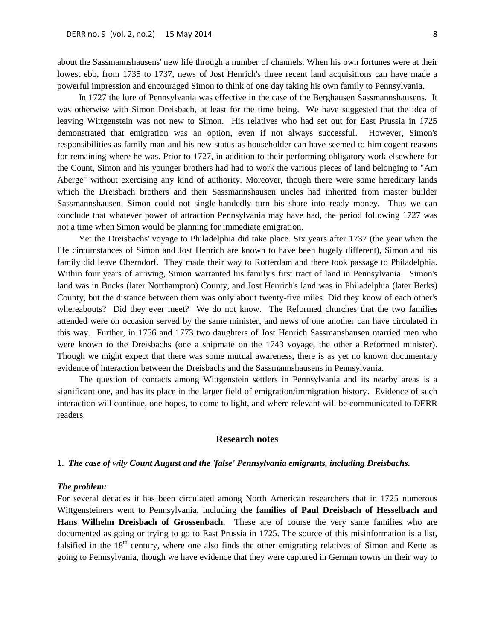about the Sassmannshausens' new life through a number of channels. When his own fortunes were at their lowest ebb, from 1735 to 1737, news of Jost Henrich's three recent land acquisitions can have made a powerful impression and encouraged Simon to think of one day taking his own family to Pennsylvania.

In 1727 the lure of Pennsylvania was effective in the case of the Berghausen Sassmannshausens. It was otherwise with Simon Dreisbach, at least for the time being. We have suggested that the idea of leaving Wittgenstein was not new to Simon. His relatives who had set out for East Prussia in 1725 demonstrated that emigration was an option, even if not always successful. However, Simon's responsibilities as family man and his new status as householder can have seemed to him cogent reasons for remaining where he was. Prior to 1727, in addition to their performing obligatory work elsewhere for the Count, Simon and his younger brothers had had to work the various pieces of land belonging to "Am Aberge" without exercising any kind of authority. Moreover, though there were some hereditary lands which the Dreisbach brothers and their Sassmannshausen uncles had inherited from master builder Sassmannshausen, Simon could not single-handedly turn his share into ready money. Thus we can conclude that whatever power of attraction Pennsylvania may have had, the period following 1727 was not a time when Simon would be planning for immediate emigration.

Yet the Dreisbachs' voyage to Philadelphia did take place. Six years after 1737 (the year when the life circumstances of Simon and Jost Henrich are known to have been hugely different), Simon and his family did leave Oberndorf. They made their way to Rotterdam and there took passage to Philadelphia. Within four years of arriving, Simon warranted his family's first tract of land in Pennsylvania. Simon's land was in Bucks (later Northampton) County, and Jost Henrich's land was in Philadelphia (later Berks) County, but the distance between them was only about twenty-five miles. Did they know of each other's whereabouts? Did they ever meet? We do not know. The Reformed churches that the two families attended were on occasion served by the same minister, and news of one another can have circulated in this way. Further, in 1756 and 1773 two daughters of Jost Henrich Sassmanshausen married men who were known to the Dreisbachs (one a shipmate on the 1743 voyage, the other a Reformed minister). Though we might expect that there was some mutual awareness, there is as yet no known documentary evidence of interaction between the Dreisbachs and the Sassmannshausens in Pennsylvania.

The question of contacts among Wittgenstein settlers in Pennsylvania and its nearby areas is a significant one, and has its place in the larger field of emigration/immigration history. Evidence of such interaction will continue, one hopes, to come to light, and where relevant will be communicated to DERR readers.

## **Research notes**

#### **1.** *The case of wily Count August and the 'false' Pennsylvania emigrants, including Dreisbachs.*

### *The problem:*

For several decades it has been circulated among North American researchers that in 1725 numerous Wittgensteiners went to Pennsylvania, including **the families of Paul Dreisbach of Hesselbach and Hans Wilhelm Dreisbach of Grossenbach**. These are of course the very same families who are documented as going or trying to go to East Prussia in 1725. The source of this misinformation is a list, falsified in the  $18<sup>th</sup>$  century, where one also finds the other emigrating relatives of Simon and Kette as going to Pennsylvania, though we have evidence that they were captured in German towns on their way to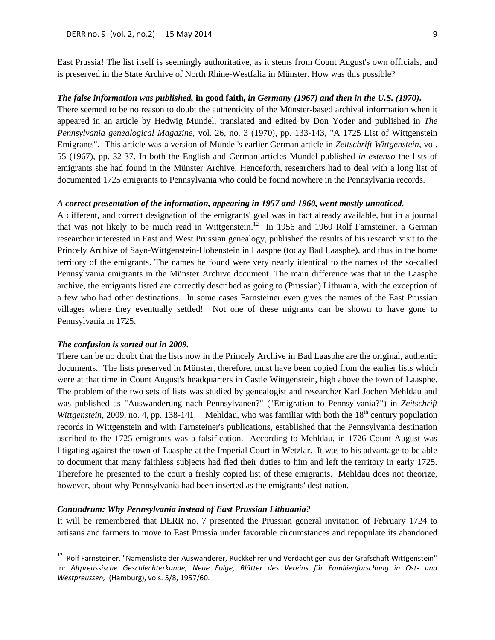East Prussia! The list itself is seemingly authoritative, as it stems from Count August's own officials, and is preserved in the State Archive of North Rhine-Westfalia in Münster. How was this possible?

## *The false information was published,* **in good faith***, in Germany (1967) and then in the U.S. (1970).*

There seemed to be no reason to doubt the authenticity of the Münster-based archival information when it appeared in an article by Hedwig Mundel, translated and edited by Don Yoder and published in *The Pennsylvania genealogical Magazine,* vol. 26, no. 3 (1970), pp. 133-143, "A 1725 List of Wittgenstein Emigrants". This article was a version of Mundel's earlier German article in *Zeitschrift Wittgenstein*, vol. 55 (1967), pp. 32-37. In both the English and German articles Mundel published *in extenso* the lists of emigrants she had found in the Münster Archive. Henceforth, researchers had to deal with a long list of documented 1725 emigrants to Pennsylvania who could be found nowhere in the Pennsylvania records.

#### *A correct presentation of the information, appearing in 1957 and 1960, went mostly unnoticed.*

A different, and correct designation of the emigrants' goal was in fact already available, but in a journal that was not likely to be much read in Wittgenstein.<sup>12</sup> In 1956 and 1960 Rolf Farnsteiner, a German researcher interested in East and West Prussian genealogy, published the results of his research visit to the Princely Archive of Sayn-Wittgenstein-Hohenstein in Laasphe (today Bad Laasphe), and thus in the home territory of the emigrants. The names he found were very nearly identical to the names of the so-called Pennsylvania emigrants in the Münster Archive document. The main difference was that in the Laasphe archive, the emigrants listed are correctly described as going to (Prussian) Lithuania, with the exception of a few who had other destinations. In some cases Farnsteiner even gives the names of the East Prussian villages where they eventually settled! Not one of these migrants can be shown to have gone to Pennsylvania in 1725.

#### *The confusion is sorted out in 2009.*

 $\overline{a}$ 

There can be no doubt that the lists now in the Princely Archive in Bad Laasphe are the original, authentic documents. The lists preserved in Münster, therefore, must have been copied from the earlier lists which were at that time in Count August's headquarters in Castle Wittgenstein, high above the town of Laasphe. The problem of the two sets of lists was studied by genealogist and researcher Karl Jochen Mehldau and was published as "Auswanderung nach Pennsylvanen?" ("Emigration to Pennsylvania?") in *Zeitschrift Wittgenstein,* 2009, no. 4, pp. 138-141. Mehldau, who was familiar with both the 18<sup>th</sup> century population records in Wittgenstein and with Farnsteiner's publications, established that the Pennsylvania destination ascribed to the 1725 emigrants was a falsification. According to Mehldau, in 1726 Count August was litigating against the town of Laasphe at the Imperial Court in Wetzlar. It was to his advantage to be able to document that many faithless subjects had fled their duties to him and left the territory in early 1725. Therefore he presented to the court a freshly copied list of these emigrants. Mehldau does not theorize, however, about why Pennsylvania had been inserted as the emigrants' destination.

#### *Conundrum: Why Pennsylvania instead of East Prussian Lithuania?*

It will be remembered that DERR no. 7 presented the Prussian general invitation of February 1724 to artisans and farmers to move to East Prussia under favorable circumstances and repopulate its abandoned

<sup>&</sup>lt;sup>12</sup> Rolf Farnsteiner, "Namensliste der Auswanderer, Rückkehrer und Verdächtigen aus der Grafschaft Wittgenstein" in: *Altpreussische Geschlechterkunde, Neue Folge, Blätter des Vereins für Familienforschung in Ost- und Westpreussen,* (Hamburg), vols. 5/8, 1957/60.